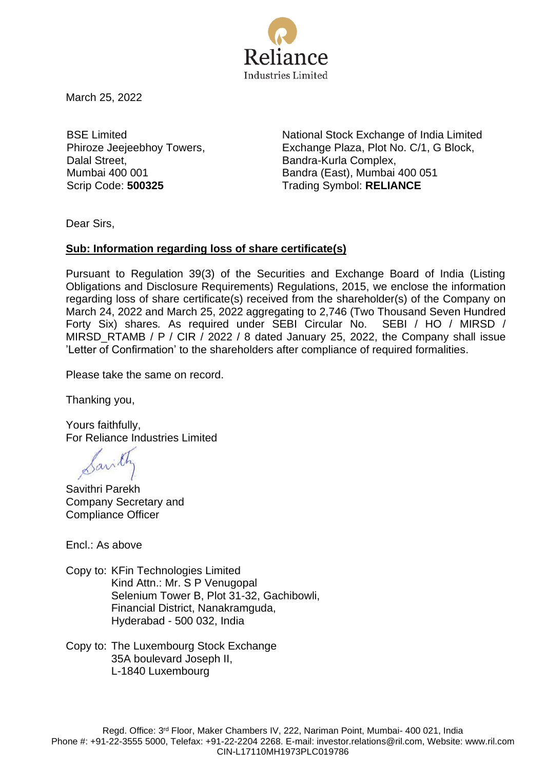

March 25, 2022

BSE Limited Phiroze Jeejeebhoy Towers, Dalal Street, Mumbai 400 001

National Stock Exchange of India Limited Exchange Plaza, Plot No. C/1, G Block, Bandra-Kurla Complex, Bandra (East), Mumbai 400 051 Scrip Code: **500325** Trading Symbol: **RELIANCE** 

Dear Sirs,

## **Sub: Information regarding loss of share certificate(s)**

Pursuant to Regulation 39(3) of the Securities and Exchange Board of India (Listing Obligations and Disclosure Requirements) Regulations, 2015, we enclose the information regarding loss of share certificate(s) received from the shareholder(s) of the Company on March 24, 2022 and March 25, 2022 aggregating to 2,746 (Two Thousand Seven Hundred Forty Six) shares*.* As required under SEBI Circular No. SEBI / HO / MIRSD / MIRSD\_RTAMB / P / CIR / 2022 / 8 dated January 25, 2022, the Company shall issue 'Letter of Confirmation' to the shareholders after compliance of required formalities.

Please take the same on record.

Thanking you,

Yours faithfully, For Reliance Industries Limited

Savith

Savithri Parekh Company Secretary and Compliance Officer

Encl.: As above

Copy to: KFin Technologies Limited Kind Attn.: Mr. S P Venugopal Selenium Tower B, Plot 31-32, Gachibowli, Financial District, Nanakramguda, Hyderabad - 500 032, India

Copy to: The Luxembourg Stock Exchange 35A boulevard Joseph II, L-1840 Luxembourg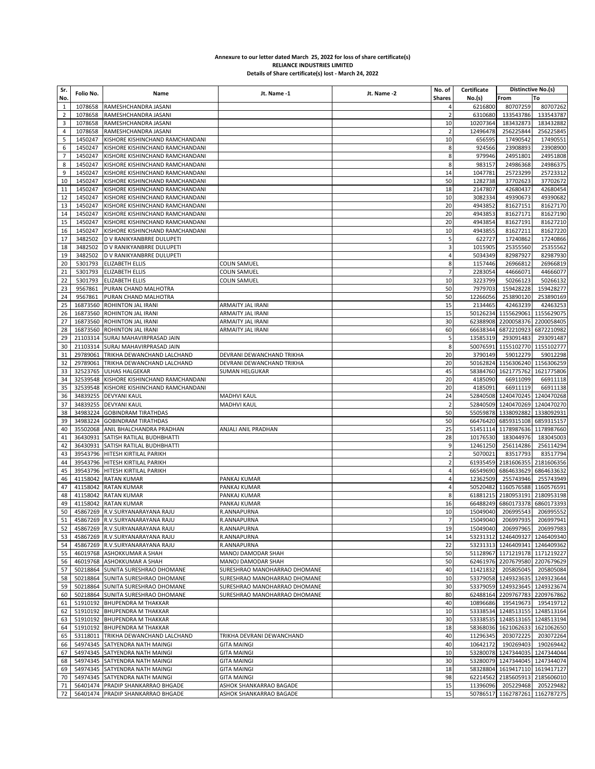## **Annexure to our letter dated March 25, 2022 for loss of share certificate(s) RELIANCE INDUSTRIES LIMITED Details of Share certificate(s) lost - March 24, 2022**

| No.<br><b>Shares</b><br>From<br>To<br>No.(s)<br>80707259<br>$\mathbf 1$<br>1078658<br>RAMESHCHANDRA JASANI<br>6216800<br>$\overline{2}$<br>1078658<br>RAMESHCHANDRA JASANI<br>6310680<br>133543786<br>$\overline{2}$<br>$\mathsf 3$<br>1078658<br>10<br>10207364<br>183432873<br>RAMESHCHANDRA JASANI<br>4<br>1078658<br>12496478<br>256225844<br>RAMESHCHANDRA JASANI<br>2<br>5<br>1450247<br>KISHORE KISHINCHAND RAMCHANDANI<br>10<br>17490542<br>656595<br>6<br>1450247<br>KISHORE KISHINCHAND RAMCHANDANI<br>924566<br>23908893<br>8<br>$\overline{7}$<br>1450247<br>KISHORE KISHINCHAND RAMCHANDANI<br>8<br>979946<br>24951801<br>8<br>1450247<br>KISHORE KISHINCHAND RAMCHANDANI<br>8<br>983157<br>24986368<br>24986375<br>9<br>1450247<br>1047781<br>25723299<br>25723312<br>KISHORE KISHINCHAND RAMCHANDANI<br>14<br>10<br>50<br>1282738<br>37702623<br>37702672<br>1450247<br>KISHORE KISHINCHAND RAMCHANDANI<br>11<br>1450247<br>42680437<br>42680454<br>KISHORE KISHINCHAND RAMCHANDANI<br>18<br>2147807<br>12<br>1450247<br>KISHORE KISHINCHAND RAMCHANDANI<br>10<br>3082334<br>49390673<br>49390682<br>13<br>1450247<br>20<br>81627151<br>81627170<br>KISHORE KISHINCHAND RAMCHANDANI<br>4943852<br>14<br>1450247<br>KISHORE KISHINCHAND RAMCHANDANI<br>20<br>4943853<br>81627171<br>81627190<br>15<br>1450247<br>KISHORE KISHINCHAND RAMCHANDANI<br>20<br>4943854<br>81627191<br>81627210<br>16<br>81627220<br>1450247<br>KISHORE KISHINCHAND RAMCHANDANI<br>10<br>4943855<br>81627211<br>17<br>5<br>3482502<br>D V RANIKYANBRRE DULUPETI<br>622727<br>17240862<br>3482502<br>1015905<br>25355560<br>18<br>D V RANIKYANBRRE DULUPETI<br>3<br>19<br>3482502<br>D V RANIKYANBRRE DULUPETI<br>4<br>5034349<br>82987927<br>8<br>20<br>5301793<br><b>ELIZABETH ELLIS</b><br><b>COLIN SAMUEL</b><br>1157446<br>26966812<br>21<br>5301793<br><b>ELIZABETH ELLIS</b><br><b>COLIN SAMUEL</b><br>2283054<br>44666071<br>7<br>22<br>5301793 ELIZABETH ELLIS<br><b>COLIN SAMUEL</b><br>10<br>3223799<br>50266123<br>23<br>9567861<br>50<br>7979703<br>159428228<br>PURAN CHAND MALHOTRA<br>24<br>9567861<br>PURAN CHAND MALHOTRA<br>50<br>253890120<br>12266056<br>25<br>16873560 ROHINTON JAL IRANI<br>15<br>2134465<br>42463239<br>ARMAITY JAL IRANI<br>15<br>1155629061 1155629075<br>26<br>16873560 ROHINTON JAL IRANI<br>50126234<br>ARMAITY JAL IRANI<br>27<br>16873560<br>30<br>62388908<br>2200058376 2200058405<br>ROHINTON JAL IRANI<br>ARMAITY JAL IRANI<br>28<br>16873560 ROHINTON JAL IRANI<br>60<br>66638344<br>6872210923<br>6872210982<br>ARMAITY JAL IRANI<br>5<br>29<br>21103314 SURAJ MAHAVIRPRASAD JAIN<br>13585319<br>293091483<br>293091487<br>21103314 SURAJ MAHAVIRPRASAD JAIN<br>8<br>50076591 1155102770 1155102777<br>30<br>31<br>29789061<br>TRIKHA DEWANCHAND LALCHAND<br>20<br>3790149<br>59012279<br>59012298<br>DEVRANI DEWANCHAND TRIKHA<br>29789061<br>TRIKHA DEWANCHAND LALCHAND<br>DEVRANI DEWANCHAND TRIKHA<br>20<br>50162824<br>1156306240 1156306259<br>32<br>33<br>32523765<br><b>ULHAS HALGEKAR</b><br>SUMAN HELGUKAR<br>45<br>58384760 1621775762 1621775806<br>34<br>32539548 KISHORE KISHINCHAND RAMCHANDANI<br>20<br>4185090<br>66911099<br>66911118<br>35<br>32539548 KISHORE KISHINCHAND RAMCHANDANI<br>4185091<br>66911138<br>20<br>66911119<br>34839255 DEVYANI KAUL<br>24<br>52840508 1240470245 1240470268<br>36<br><b>MADHVI KAUL</b><br>34839255 DEVYANI KAUL<br>MADHVI KAUL<br>$\overline{2}$<br>52840509 1240470269 1240470270<br>37<br>34983224<br>50<br>55059878 1338092882<br>1338092931<br>38<br><b>GOBINDRAM TIRATHDAS</b><br>50<br>39<br>34983224 GOBINDRAM TIRATHDAS<br>66476420 6859315108 6859315157<br>40<br>35502068 ANIL BHALCHANDRA PRADHAN<br>25<br>51451114 1178987636 1178987660<br>ANJALI ANIL PRADHAN<br>41<br>36430931 SATISH RATILAL BUDHBHATTI<br>28<br>10176530<br>183044976<br>42<br>36430931 SATISH RATILAL BUDHBHATTI<br>9<br>12461250<br>256114286<br>39543796 HITESH KIRTILAL PARIKH<br>$\overline{2}$<br>5070021<br>83517793<br>43<br>$\overline{2}$<br>61935459 2181606355<br>44<br>39543796 HITESH KIRTILAL PARIKH<br>45<br>39543796 HITESH KIRTILAL PARIKH<br>$\overline{4}$<br>66549690<br>6864633629 6864633632<br>46<br>41158042 RATAN KUMAR<br>$\overline{4}$<br>12362509<br>255743946<br>PANKAJ KUMAR<br>47<br>41158042 RATAN KUMAR<br>PANKAJ KUMAR<br>$\overline{4}$<br>50520482<br>1160576588 1160576591<br>48<br>41158042 RATAN KUMAR<br>8<br>61881215 2180953191 2180953198<br>PANKAJ KUMAR<br>41158042 RATAN KUMAR<br>66488249 6860173378 6860173393<br>49<br>PANKAJ KUMAR<br>16<br>50<br>10<br>45867269 R.V.SURYANARAYANA RAJU<br>15049040<br>206995543<br>206995552<br>R.ANNAPURNA<br>51 45867269 R.V.SURYANARAYANA RAJU<br>R.ANNAPURNA<br>15049040 206997935 206997941<br>52<br>45867269 R.V.SURYANARAYANA RAJU<br>R.ANNAPURNA<br>19<br>15049040 206997965<br>206997983<br>53<br>45867269 R.V.SURYANARAYANA RAJU<br>R.ANNAPURNA<br>14<br>53231312 1246409327 1246409340<br>45867269 R.V.SURYANARAYANA RAJU<br>53231313 1246409341 1246409362<br>54<br>R.ANNAPURNA<br>22<br>46019768 ASHOKKUMAR A SHAH<br>50<br>51128967 1171219178 1171219227<br>55<br>MANOJ DAMODAR SHAH<br>46019768 ASHOKKUMAR A SHAH<br>50<br>62461976 2207679580 2207679629<br>MANOJ DAMODAR SHAH<br>56<br>50218864 SUNITA SURESHRAO DHOMANE<br>11421832<br>205805045<br>57<br>SURESHRAO MANOHARRAO DHOMANE<br>40<br>50218864 SUNITA SURESHRAO DHOMANE<br>SURESHRAO MANOHARRAO DHOMANE<br>10<br>53379058 1249323635 1249323644<br>58<br>59<br>50218864 SUNITA SURESHRAO DHOMANE<br>SURESHRAO MANOHARRAO DHOMANE<br>30<br>53379059 1249323645 1249323674<br>60<br>50218864 SUNITA SURESHRAO DHOMANE<br>SURESHRAO MANOHARRAO DHOMANE<br>80<br>62488164 2209767783 2209767862<br>51910192 BHUPENDRA M THAKKAR<br>10896686<br>195419673<br>61<br>40<br>51910192 BHUPENDRA M THAKKAR<br>10<br>53338534 1248513155 1248513164<br>62<br>53338535 1248513165 1248513194<br>63<br>51910192 BHUPENDRA M THAKKAR<br>30<br>51910192 BHUPENDRA M THAKKAR<br>18<br>58368036 1621062633 1621062650<br>64<br>53118011 TRIKHA DEWANCHAND LALCHAND<br>40<br>11296345<br>203072225<br>65<br>TRIKHA DEVRANI DEWANCHAND<br>66<br>54974345 SATYENDRA NATH MAINGI<br>40<br>10642172<br>190269403<br><b>GITA MAINGI</b><br>54974345 SATYENDRA NATH MAINGI<br>10<br>53280078 1247344035 1247344044<br>67<br><b>GITA MAINGI</b><br>54974345 SATYENDRA NATH MAINGI<br>53280079 1247344045 1247344074<br><b>GITA MAINGI</b><br>30<br>68<br>54974345 SATYENDRA NATH MAINGI<br>58328804 1619417110 1619417127<br>69<br><b>GITA MAINGI</b><br>18<br>70<br>54974345 SATYENDRA NATH MAINGI<br><b>GITA MAINGI</b><br>98<br>62214562<br>2185605913 2185606010 | 56401474 PRADIP SHANKARRAO BHGADE<br>11396096<br>205229468<br>71<br>ASHOK SHANKARRAO BAGADE<br>15<br>205229482 | Sr. |           |      |             |             | No. of | Certificate | Distinctive No.(s) |            |
|-----------------------------------------------------------------------------------------------------------------------------------------------------------------------------------------------------------------------------------------------------------------------------------------------------------------------------------------------------------------------------------------------------------------------------------------------------------------------------------------------------------------------------------------------------------------------------------------------------------------------------------------------------------------------------------------------------------------------------------------------------------------------------------------------------------------------------------------------------------------------------------------------------------------------------------------------------------------------------------------------------------------------------------------------------------------------------------------------------------------------------------------------------------------------------------------------------------------------------------------------------------------------------------------------------------------------------------------------------------------------------------------------------------------------------------------------------------------------------------------------------------------------------------------------------------------------------------------------------------------------------------------------------------------------------------------------------------------------------------------------------------------------------------------------------------------------------------------------------------------------------------------------------------------------------------------------------------------------------------------------------------------------------------------------------------------------------------------------------------------------------------------------------------------------------------------------------------------------------------------------------------------------------------------------------------------------------------------------------------------------------------------------------------------------------------------------------------------------------------------------------------------------------------------------------------------------------------------------------------------------------------------------------------------------------------------------------------------------------------------------------------------------------------------------------------------------------------------------------------------------------------------------------------------------------------------------------------------------------------------------------------------------------------------------------------------------------------------------------------------------------------------------------------------------------------------------------------------------------------------------------------------------------------------------------------------------------------------------------------------------------------------------------------------------------------------------------------------------------------------------------------------------------------------------------------------------------------------------------------------------------------------------------------------------------------------------------------------------------------------------------------------------------------------------------------------------------------------------------------------------------------------------------------------------------------------------------------------------------------------------------------------------------------------------------------------------------------------------------------------------------------------------------------------------------------------------------------------------------------------------------------------------------------------------------------------------------------------------------------------------------------------------------------------------------------------------------------------------------------------------------------------------------------------------------------------------------------------------------------------------------------------------------------------------------------------------------------------------------------------------------------------------------------------------------------------------------------------------------------------------------------------------------------------------------------------------------------------------------------------------------------------------------------------------------------------------------------------------------------------------------------------------------------------------------------------------------------------------------------------------------------------------------------------------------------------------------------------------------------------------------------------------------------------------------------------------------------------------------------------------------------------------------------------------------------------------------------------------------------------------------------------------------------------------------------------------------------------------------------------------------------------------------------------------------------------------------------------------------------------------------------------------------------------------------------------------------------------------------------------------------------------------------------------------------------------------------------------------------------------------------------------------------------------------------------------------------------------------------------------------------------------------------------------------------------------------------------------------------------------------------------------------------------------------------------------------------------------------------------------------------------------------------------------------------------------------------------------------------------------------------------------------------------------------------------------------------|----------------------------------------------------------------------------------------------------------------|-----|-----------|------|-------------|-------------|--------|-------------|--------------------|------------|
|                                                                                                                                                                                                                                                                                                                                                                                                                                                                                                                                                                                                                                                                                                                                                                                                                                                                                                                                                                                                                                                                                                                                                                                                                                                                                                                                                                                                                                                                                                                                                                                                                                                                                                                                                                                                                                                                                                                                                                                                                                                                                                                                                                                                                                                                                                                                                                                                                                                                                                                                                                                                                                                                                                                                                                                                                                                                                                                                                                                                                                                                                                                                                                                                                                                                                                                                                                                                                                                                                                                                                                                                                                                                                                                                                                                                                                                                                                                                                                                                                                                                                                                                                                                                                                                                                                                                                                                                                                                                                                                                                                                                                                                                                                                                                                                                                                                                                                                                                                                                                                                                                                                                                                                                                                                                                                                                                                                                                                                                                                                                                                                                                                                                                                                                                                                                                                                                                                                                                                                                                                                                                                                                                                                                                                                                                                                                                                                                                                                                                                                                                                                                                                                                                                     |                                                                                                                |     | Folio No. | Name | Jt. Name -1 | Jt. Name -2 |        |             |                    |            |
|                                                                                                                                                                                                                                                                                                                                                                                                                                                                                                                                                                                                                                                                                                                                                                                                                                                                                                                                                                                                                                                                                                                                                                                                                                                                                                                                                                                                                                                                                                                                                                                                                                                                                                                                                                                                                                                                                                                                                                                                                                                                                                                                                                                                                                                                                                                                                                                                                                                                                                                                                                                                                                                                                                                                                                                                                                                                                                                                                                                                                                                                                                                                                                                                                                                                                                                                                                                                                                                                                                                                                                                                                                                                                                                                                                                                                                                                                                                                                                                                                                                                                                                                                                                                                                                                                                                                                                                                                                                                                                                                                                                                                                                                                                                                                                                                                                                                                                                                                                                                                                                                                                                                                                                                                                                                                                                                                                                                                                                                                                                                                                                                                                                                                                                                                                                                                                                                                                                                                                                                                                                                                                                                                                                                                                                                                                                                                                                                                                                                                                                                                                                                                                                                                                     |                                                                                                                |     |           |      |             |             |        |             |                    | 80707262   |
|                                                                                                                                                                                                                                                                                                                                                                                                                                                                                                                                                                                                                                                                                                                                                                                                                                                                                                                                                                                                                                                                                                                                                                                                                                                                                                                                                                                                                                                                                                                                                                                                                                                                                                                                                                                                                                                                                                                                                                                                                                                                                                                                                                                                                                                                                                                                                                                                                                                                                                                                                                                                                                                                                                                                                                                                                                                                                                                                                                                                                                                                                                                                                                                                                                                                                                                                                                                                                                                                                                                                                                                                                                                                                                                                                                                                                                                                                                                                                                                                                                                                                                                                                                                                                                                                                                                                                                                                                                                                                                                                                                                                                                                                                                                                                                                                                                                                                                                                                                                                                                                                                                                                                                                                                                                                                                                                                                                                                                                                                                                                                                                                                                                                                                                                                                                                                                                                                                                                                                                                                                                                                                                                                                                                                                                                                                                                                                                                                                                                                                                                                                                                                                                                                                     |                                                                                                                |     |           |      |             |             |        |             |                    | 133543787  |
|                                                                                                                                                                                                                                                                                                                                                                                                                                                                                                                                                                                                                                                                                                                                                                                                                                                                                                                                                                                                                                                                                                                                                                                                                                                                                                                                                                                                                                                                                                                                                                                                                                                                                                                                                                                                                                                                                                                                                                                                                                                                                                                                                                                                                                                                                                                                                                                                                                                                                                                                                                                                                                                                                                                                                                                                                                                                                                                                                                                                                                                                                                                                                                                                                                                                                                                                                                                                                                                                                                                                                                                                                                                                                                                                                                                                                                                                                                                                                                                                                                                                                                                                                                                                                                                                                                                                                                                                                                                                                                                                                                                                                                                                                                                                                                                                                                                                                                                                                                                                                                                                                                                                                                                                                                                                                                                                                                                                                                                                                                                                                                                                                                                                                                                                                                                                                                                                                                                                                                                                                                                                                                                                                                                                                                                                                                                                                                                                                                                                                                                                                                                                                                                                                                     |                                                                                                                |     |           |      |             |             |        |             |                    | 183432882  |
|                                                                                                                                                                                                                                                                                                                                                                                                                                                                                                                                                                                                                                                                                                                                                                                                                                                                                                                                                                                                                                                                                                                                                                                                                                                                                                                                                                                                                                                                                                                                                                                                                                                                                                                                                                                                                                                                                                                                                                                                                                                                                                                                                                                                                                                                                                                                                                                                                                                                                                                                                                                                                                                                                                                                                                                                                                                                                                                                                                                                                                                                                                                                                                                                                                                                                                                                                                                                                                                                                                                                                                                                                                                                                                                                                                                                                                                                                                                                                                                                                                                                                                                                                                                                                                                                                                                                                                                                                                                                                                                                                                                                                                                                                                                                                                                                                                                                                                                                                                                                                                                                                                                                                                                                                                                                                                                                                                                                                                                                                                                                                                                                                                                                                                                                                                                                                                                                                                                                                                                                                                                                                                                                                                                                                                                                                                                                                                                                                                                                                                                                                                                                                                                                                                     |                                                                                                                |     |           |      |             |             |        |             |                    | 256225845  |
|                                                                                                                                                                                                                                                                                                                                                                                                                                                                                                                                                                                                                                                                                                                                                                                                                                                                                                                                                                                                                                                                                                                                                                                                                                                                                                                                                                                                                                                                                                                                                                                                                                                                                                                                                                                                                                                                                                                                                                                                                                                                                                                                                                                                                                                                                                                                                                                                                                                                                                                                                                                                                                                                                                                                                                                                                                                                                                                                                                                                                                                                                                                                                                                                                                                                                                                                                                                                                                                                                                                                                                                                                                                                                                                                                                                                                                                                                                                                                                                                                                                                                                                                                                                                                                                                                                                                                                                                                                                                                                                                                                                                                                                                                                                                                                                                                                                                                                                                                                                                                                                                                                                                                                                                                                                                                                                                                                                                                                                                                                                                                                                                                                                                                                                                                                                                                                                                                                                                                                                                                                                                                                                                                                                                                                                                                                                                                                                                                                                                                                                                                                                                                                                                                                     |                                                                                                                |     |           |      |             |             |        |             |                    | 17490551   |
|                                                                                                                                                                                                                                                                                                                                                                                                                                                                                                                                                                                                                                                                                                                                                                                                                                                                                                                                                                                                                                                                                                                                                                                                                                                                                                                                                                                                                                                                                                                                                                                                                                                                                                                                                                                                                                                                                                                                                                                                                                                                                                                                                                                                                                                                                                                                                                                                                                                                                                                                                                                                                                                                                                                                                                                                                                                                                                                                                                                                                                                                                                                                                                                                                                                                                                                                                                                                                                                                                                                                                                                                                                                                                                                                                                                                                                                                                                                                                                                                                                                                                                                                                                                                                                                                                                                                                                                                                                                                                                                                                                                                                                                                                                                                                                                                                                                                                                                                                                                                                                                                                                                                                                                                                                                                                                                                                                                                                                                                                                                                                                                                                                                                                                                                                                                                                                                                                                                                                                                                                                                                                                                                                                                                                                                                                                                                                                                                                                                                                                                                                                                                                                                                                                     |                                                                                                                |     |           |      |             |             |        |             |                    | 23908900   |
|                                                                                                                                                                                                                                                                                                                                                                                                                                                                                                                                                                                                                                                                                                                                                                                                                                                                                                                                                                                                                                                                                                                                                                                                                                                                                                                                                                                                                                                                                                                                                                                                                                                                                                                                                                                                                                                                                                                                                                                                                                                                                                                                                                                                                                                                                                                                                                                                                                                                                                                                                                                                                                                                                                                                                                                                                                                                                                                                                                                                                                                                                                                                                                                                                                                                                                                                                                                                                                                                                                                                                                                                                                                                                                                                                                                                                                                                                                                                                                                                                                                                                                                                                                                                                                                                                                                                                                                                                                                                                                                                                                                                                                                                                                                                                                                                                                                                                                                                                                                                                                                                                                                                                                                                                                                                                                                                                                                                                                                                                                                                                                                                                                                                                                                                                                                                                                                                                                                                                                                                                                                                                                                                                                                                                                                                                                                                                                                                                                                                                                                                                                                                                                                                                                     |                                                                                                                |     |           |      |             |             |        |             |                    | 24951808   |
|                                                                                                                                                                                                                                                                                                                                                                                                                                                                                                                                                                                                                                                                                                                                                                                                                                                                                                                                                                                                                                                                                                                                                                                                                                                                                                                                                                                                                                                                                                                                                                                                                                                                                                                                                                                                                                                                                                                                                                                                                                                                                                                                                                                                                                                                                                                                                                                                                                                                                                                                                                                                                                                                                                                                                                                                                                                                                                                                                                                                                                                                                                                                                                                                                                                                                                                                                                                                                                                                                                                                                                                                                                                                                                                                                                                                                                                                                                                                                                                                                                                                                                                                                                                                                                                                                                                                                                                                                                                                                                                                                                                                                                                                                                                                                                                                                                                                                                                                                                                                                                                                                                                                                                                                                                                                                                                                                                                                                                                                                                                                                                                                                                                                                                                                                                                                                                                                                                                                                                                                                                                                                                                                                                                                                                                                                                                                                                                                                                                                                                                                                                                                                                                                                                     |                                                                                                                |     |           |      |             |             |        |             |                    |            |
|                                                                                                                                                                                                                                                                                                                                                                                                                                                                                                                                                                                                                                                                                                                                                                                                                                                                                                                                                                                                                                                                                                                                                                                                                                                                                                                                                                                                                                                                                                                                                                                                                                                                                                                                                                                                                                                                                                                                                                                                                                                                                                                                                                                                                                                                                                                                                                                                                                                                                                                                                                                                                                                                                                                                                                                                                                                                                                                                                                                                                                                                                                                                                                                                                                                                                                                                                                                                                                                                                                                                                                                                                                                                                                                                                                                                                                                                                                                                                                                                                                                                                                                                                                                                                                                                                                                                                                                                                                                                                                                                                                                                                                                                                                                                                                                                                                                                                                                                                                                                                                                                                                                                                                                                                                                                                                                                                                                                                                                                                                                                                                                                                                                                                                                                                                                                                                                                                                                                                                                                                                                                                                                                                                                                                                                                                                                                                                                                                                                                                                                                                                                                                                                                                                     |                                                                                                                |     |           |      |             |             |        |             |                    |            |
|                                                                                                                                                                                                                                                                                                                                                                                                                                                                                                                                                                                                                                                                                                                                                                                                                                                                                                                                                                                                                                                                                                                                                                                                                                                                                                                                                                                                                                                                                                                                                                                                                                                                                                                                                                                                                                                                                                                                                                                                                                                                                                                                                                                                                                                                                                                                                                                                                                                                                                                                                                                                                                                                                                                                                                                                                                                                                                                                                                                                                                                                                                                                                                                                                                                                                                                                                                                                                                                                                                                                                                                                                                                                                                                                                                                                                                                                                                                                                                                                                                                                                                                                                                                                                                                                                                                                                                                                                                                                                                                                                                                                                                                                                                                                                                                                                                                                                                                                                                                                                                                                                                                                                                                                                                                                                                                                                                                                                                                                                                                                                                                                                                                                                                                                                                                                                                                                                                                                                                                                                                                                                                                                                                                                                                                                                                                                                                                                                                                                                                                                                                                                                                                                                                     |                                                                                                                |     |           |      |             |             |        |             |                    |            |
|                                                                                                                                                                                                                                                                                                                                                                                                                                                                                                                                                                                                                                                                                                                                                                                                                                                                                                                                                                                                                                                                                                                                                                                                                                                                                                                                                                                                                                                                                                                                                                                                                                                                                                                                                                                                                                                                                                                                                                                                                                                                                                                                                                                                                                                                                                                                                                                                                                                                                                                                                                                                                                                                                                                                                                                                                                                                                                                                                                                                                                                                                                                                                                                                                                                                                                                                                                                                                                                                                                                                                                                                                                                                                                                                                                                                                                                                                                                                                                                                                                                                                                                                                                                                                                                                                                                                                                                                                                                                                                                                                                                                                                                                                                                                                                                                                                                                                                                                                                                                                                                                                                                                                                                                                                                                                                                                                                                                                                                                                                                                                                                                                                                                                                                                                                                                                                                                                                                                                                                                                                                                                                                                                                                                                                                                                                                                                                                                                                                                                                                                                                                                                                                                                                     |                                                                                                                |     |           |      |             |             |        |             |                    |            |
|                                                                                                                                                                                                                                                                                                                                                                                                                                                                                                                                                                                                                                                                                                                                                                                                                                                                                                                                                                                                                                                                                                                                                                                                                                                                                                                                                                                                                                                                                                                                                                                                                                                                                                                                                                                                                                                                                                                                                                                                                                                                                                                                                                                                                                                                                                                                                                                                                                                                                                                                                                                                                                                                                                                                                                                                                                                                                                                                                                                                                                                                                                                                                                                                                                                                                                                                                                                                                                                                                                                                                                                                                                                                                                                                                                                                                                                                                                                                                                                                                                                                                                                                                                                                                                                                                                                                                                                                                                                                                                                                                                                                                                                                                                                                                                                                                                                                                                                                                                                                                                                                                                                                                                                                                                                                                                                                                                                                                                                                                                                                                                                                                                                                                                                                                                                                                                                                                                                                                                                                                                                                                                                                                                                                                                                                                                                                                                                                                                                                                                                                                                                                                                                                                                     |                                                                                                                |     |           |      |             |             |        |             |                    |            |
|                                                                                                                                                                                                                                                                                                                                                                                                                                                                                                                                                                                                                                                                                                                                                                                                                                                                                                                                                                                                                                                                                                                                                                                                                                                                                                                                                                                                                                                                                                                                                                                                                                                                                                                                                                                                                                                                                                                                                                                                                                                                                                                                                                                                                                                                                                                                                                                                                                                                                                                                                                                                                                                                                                                                                                                                                                                                                                                                                                                                                                                                                                                                                                                                                                                                                                                                                                                                                                                                                                                                                                                                                                                                                                                                                                                                                                                                                                                                                                                                                                                                                                                                                                                                                                                                                                                                                                                                                                                                                                                                                                                                                                                                                                                                                                                                                                                                                                                                                                                                                                                                                                                                                                                                                                                                                                                                                                                                                                                                                                                                                                                                                                                                                                                                                                                                                                                                                                                                                                                                                                                                                                                                                                                                                                                                                                                                                                                                                                                                                                                                                                                                                                                                                                     |                                                                                                                |     |           |      |             |             |        |             |                    |            |
|                                                                                                                                                                                                                                                                                                                                                                                                                                                                                                                                                                                                                                                                                                                                                                                                                                                                                                                                                                                                                                                                                                                                                                                                                                                                                                                                                                                                                                                                                                                                                                                                                                                                                                                                                                                                                                                                                                                                                                                                                                                                                                                                                                                                                                                                                                                                                                                                                                                                                                                                                                                                                                                                                                                                                                                                                                                                                                                                                                                                                                                                                                                                                                                                                                                                                                                                                                                                                                                                                                                                                                                                                                                                                                                                                                                                                                                                                                                                                                                                                                                                                                                                                                                                                                                                                                                                                                                                                                                                                                                                                                                                                                                                                                                                                                                                                                                                                                                                                                                                                                                                                                                                                                                                                                                                                                                                                                                                                                                                                                                                                                                                                                                                                                                                                                                                                                                                                                                                                                                                                                                                                                                                                                                                                                                                                                                                                                                                                                                                                                                                                                                                                                                                                                     |                                                                                                                |     |           |      |             |             |        |             |                    |            |
|                                                                                                                                                                                                                                                                                                                                                                                                                                                                                                                                                                                                                                                                                                                                                                                                                                                                                                                                                                                                                                                                                                                                                                                                                                                                                                                                                                                                                                                                                                                                                                                                                                                                                                                                                                                                                                                                                                                                                                                                                                                                                                                                                                                                                                                                                                                                                                                                                                                                                                                                                                                                                                                                                                                                                                                                                                                                                                                                                                                                                                                                                                                                                                                                                                                                                                                                                                                                                                                                                                                                                                                                                                                                                                                                                                                                                                                                                                                                                                                                                                                                                                                                                                                                                                                                                                                                                                                                                                                                                                                                                                                                                                                                                                                                                                                                                                                                                                                                                                                                                                                                                                                                                                                                                                                                                                                                                                                                                                                                                                                                                                                                                                                                                                                                                                                                                                                                                                                                                                                                                                                                                                                                                                                                                                                                                                                                                                                                                                                                                                                                                                                                                                                                                                     |                                                                                                                |     |           |      |             |             |        |             |                    |            |
|                                                                                                                                                                                                                                                                                                                                                                                                                                                                                                                                                                                                                                                                                                                                                                                                                                                                                                                                                                                                                                                                                                                                                                                                                                                                                                                                                                                                                                                                                                                                                                                                                                                                                                                                                                                                                                                                                                                                                                                                                                                                                                                                                                                                                                                                                                                                                                                                                                                                                                                                                                                                                                                                                                                                                                                                                                                                                                                                                                                                                                                                                                                                                                                                                                                                                                                                                                                                                                                                                                                                                                                                                                                                                                                                                                                                                                                                                                                                                                                                                                                                                                                                                                                                                                                                                                                                                                                                                                                                                                                                                                                                                                                                                                                                                                                                                                                                                                                                                                                                                                                                                                                                                                                                                                                                                                                                                                                                                                                                                                                                                                                                                                                                                                                                                                                                                                                                                                                                                                                                                                                                                                                                                                                                                                                                                                                                                                                                                                                                                                                                                                                                                                                                                                     |                                                                                                                |     |           |      |             |             |        |             |                    | 17240866   |
|                                                                                                                                                                                                                                                                                                                                                                                                                                                                                                                                                                                                                                                                                                                                                                                                                                                                                                                                                                                                                                                                                                                                                                                                                                                                                                                                                                                                                                                                                                                                                                                                                                                                                                                                                                                                                                                                                                                                                                                                                                                                                                                                                                                                                                                                                                                                                                                                                                                                                                                                                                                                                                                                                                                                                                                                                                                                                                                                                                                                                                                                                                                                                                                                                                                                                                                                                                                                                                                                                                                                                                                                                                                                                                                                                                                                                                                                                                                                                                                                                                                                                                                                                                                                                                                                                                                                                                                                                                                                                                                                                                                                                                                                                                                                                                                                                                                                                                                                                                                                                                                                                                                                                                                                                                                                                                                                                                                                                                                                                                                                                                                                                                                                                                                                                                                                                                                                                                                                                                                                                                                                                                                                                                                                                                                                                                                                                                                                                                                                                                                                                                                                                                                                                                     |                                                                                                                |     |           |      |             |             |        |             |                    | 25355562   |
|                                                                                                                                                                                                                                                                                                                                                                                                                                                                                                                                                                                                                                                                                                                                                                                                                                                                                                                                                                                                                                                                                                                                                                                                                                                                                                                                                                                                                                                                                                                                                                                                                                                                                                                                                                                                                                                                                                                                                                                                                                                                                                                                                                                                                                                                                                                                                                                                                                                                                                                                                                                                                                                                                                                                                                                                                                                                                                                                                                                                                                                                                                                                                                                                                                                                                                                                                                                                                                                                                                                                                                                                                                                                                                                                                                                                                                                                                                                                                                                                                                                                                                                                                                                                                                                                                                                                                                                                                                                                                                                                                                                                                                                                                                                                                                                                                                                                                                                                                                                                                                                                                                                                                                                                                                                                                                                                                                                                                                                                                                                                                                                                                                                                                                                                                                                                                                                                                                                                                                                                                                                                                                                                                                                                                                                                                                                                                                                                                                                                                                                                                                                                                                                                                                     |                                                                                                                |     |           |      |             |             |        |             |                    | 82987930   |
|                                                                                                                                                                                                                                                                                                                                                                                                                                                                                                                                                                                                                                                                                                                                                                                                                                                                                                                                                                                                                                                                                                                                                                                                                                                                                                                                                                                                                                                                                                                                                                                                                                                                                                                                                                                                                                                                                                                                                                                                                                                                                                                                                                                                                                                                                                                                                                                                                                                                                                                                                                                                                                                                                                                                                                                                                                                                                                                                                                                                                                                                                                                                                                                                                                                                                                                                                                                                                                                                                                                                                                                                                                                                                                                                                                                                                                                                                                                                                                                                                                                                                                                                                                                                                                                                                                                                                                                                                                                                                                                                                                                                                                                                                                                                                                                                                                                                                                                                                                                                                                                                                                                                                                                                                                                                                                                                                                                                                                                                                                                                                                                                                                                                                                                                                                                                                                                                                                                                                                                                                                                                                                                                                                                                                                                                                                                                                                                                                                                                                                                                                                                                                                                                                                     |                                                                                                                |     |           |      |             |             |        |             |                    | 26966819   |
|                                                                                                                                                                                                                                                                                                                                                                                                                                                                                                                                                                                                                                                                                                                                                                                                                                                                                                                                                                                                                                                                                                                                                                                                                                                                                                                                                                                                                                                                                                                                                                                                                                                                                                                                                                                                                                                                                                                                                                                                                                                                                                                                                                                                                                                                                                                                                                                                                                                                                                                                                                                                                                                                                                                                                                                                                                                                                                                                                                                                                                                                                                                                                                                                                                                                                                                                                                                                                                                                                                                                                                                                                                                                                                                                                                                                                                                                                                                                                                                                                                                                                                                                                                                                                                                                                                                                                                                                                                                                                                                                                                                                                                                                                                                                                                                                                                                                                                                                                                                                                                                                                                                                                                                                                                                                                                                                                                                                                                                                                                                                                                                                                                                                                                                                                                                                                                                                                                                                                                                                                                                                                                                                                                                                                                                                                                                                                                                                                                                                                                                                                                                                                                                                                                     |                                                                                                                |     |           |      |             |             |        |             |                    | 44666077   |
|                                                                                                                                                                                                                                                                                                                                                                                                                                                                                                                                                                                                                                                                                                                                                                                                                                                                                                                                                                                                                                                                                                                                                                                                                                                                                                                                                                                                                                                                                                                                                                                                                                                                                                                                                                                                                                                                                                                                                                                                                                                                                                                                                                                                                                                                                                                                                                                                                                                                                                                                                                                                                                                                                                                                                                                                                                                                                                                                                                                                                                                                                                                                                                                                                                                                                                                                                                                                                                                                                                                                                                                                                                                                                                                                                                                                                                                                                                                                                                                                                                                                                                                                                                                                                                                                                                                                                                                                                                                                                                                                                                                                                                                                                                                                                                                                                                                                                                                                                                                                                                                                                                                                                                                                                                                                                                                                                                                                                                                                                                                                                                                                                                                                                                                                                                                                                                                                                                                                                                                                                                                                                                                                                                                                                                                                                                                                                                                                                                                                                                                                                                                                                                                                                                     |                                                                                                                |     |           |      |             |             |        |             |                    | 50266132   |
|                                                                                                                                                                                                                                                                                                                                                                                                                                                                                                                                                                                                                                                                                                                                                                                                                                                                                                                                                                                                                                                                                                                                                                                                                                                                                                                                                                                                                                                                                                                                                                                                                                                                                                                                                                                                                                                                                                                                                                                                                                                                                                                                                                                                                                                                                                                                                                                                                                                                                                                                                                                                                                                                                                                                                                                                                                                                                                                                                                                                                                                                                                                                                                                                                                                                                                                                                                                                                                                                                                                                                                                                                                                                                                                                                                                                                                                                                                                                                                                                                                                                                                                                                                                                                                                                                                                                                                                                                                                                                                                                                                                                                                                                                                                                                                                                                                                                                                                                                                                                                                                                                                                                                                                                                                                                                                                                                                                                                                                                                                                                                                                                                                                                                                                                                                                                                                                                                                                                                                                                                                                                                                                                                                                                                                                                                                                                                                                                                                                                                                                                                                                                                                                                                                     |                                                                                                                |     |           |      |             |             |        |             |                    | 159428277  |
|                                                                                                                                                                                                                                                                                                                                                                                                                                                                                                                                                                                                                                                                                                                                                                                                                                                                                                                                                                                                                                                                                                                                                                                                                                                                                                                                                                                                                                                                                                                                                                                                                                                                                                                                                                                                                                                                                                                                                                                                                                                                                                                                                                                                                                                                                                                                                                                                                                                                                                                                                                                                                                                                                                                                                                                                                                                                                                                                                                                                                                                                                                                                                                                                                                                                                                                                                                                                                                                                                                                                                                                                                                                                                                                                                                                                                                                                                                                                                                                                                                                                                                                                                                                                                                                                                                                                                                                                                                                                                                                                                                                                                                                                                                                                                                                                                                                                                                                                                                                                                                                                                                                                                                                                                                                                                                                                                                                                                                                                                                                                                                                                                                                                                                                                                                                                                                                                                                                                                                                                                                                                                                                                                                                                                                                                                                                                                                                                                                                                                                                                                                                                                                                                                                     |                                                                                                                |     |           |      |             |             |        |             |                    | 253890169  |
|                                                                                                                                                                                                                                                                                                                                                                                                                                                                                                                                                                                                                                                                                                                                                                                                                                                                                                                                                                                                                                                                                                                                                                                                                                                                                                                                                                                                                                                                                                                                                                                                                                                                                                                                                                                                                                                                                                                                                                                                                                                                                                                                                                                                                                                                                                                                                                                                                                                                                                                                                                                                                                                                                                                                                                                                                                                                                                                                                                                                                                                                                                                                                                                                                                                                                                                                                                                                                                                                                                                                                                                                                                                                                                                                                                                                                                                                                                                                                                                                                                                                                                                                                                                                                                                                                                                                                                                                                                                                                                                                                                                                                                                                                                                                                                                                                                                                                                                                                                                                                                                                                                                                                                                                                                                                                                                                                                                                                                                                                                                                                                                                                                                                                                                                                                                                                                                                                                                                                                                                                                                                                                                                                                                                                                                                                                                                                                                                                                                                                                                                                                                                                                                                                                     |                                                                                                                |     |           |      |             |             |        |             |                    | 42463253   |
|                                                                                                                                                                                                                                                                                                                                                                                                                                                                                                                                                                                                                                                                                                                                                                                                                                                                                                                                                                                                                                                                                                                                                                                                                                                                                                                                                                                                                                                                                                                                                                                                                                                                                                                                                                                                                                                                                                                                                                                                                                                                                                                                                                                                                                                                                                                                                                                                                                                                                                                                                                                                                                                                                                                                                                                                                                                                                                                                                                                                                                                                                                                                                                                                                                                                                                                                                                                                                                                                                                                                                                                                                                                                                                                                                                                                                                                                                                                                                                                                                                                                                                                                                                                                                                                                                                                                                                                                                                                                                                                                                                                                                                                                                                                                                                                                                                                                                                                                                                                                                                                                                                                                                                                                                                                                                                                                                                                                                                                                                                                                                                                                                                                                                                                                                                                                                                                                                                                                                                                                                                                                                                                                                                                                                                                                                                                                                                                                                                                                                                                                                                                                                                                                                                     |                                                                                                                |     |           |      |             |             |        |             |                    |            |
|                                                                                                                                                                                                                                                                                                                                                                                                                                                                                                                                                                                                                                                                                                                                                                                                                                                                                                                                                                                                                                                                                                                                                                                                                                                                                                                                                                                                                                                                                                                                                                                                                                                                                                                                                                                                                                                                                                                                                                                                                                                                                                                                                                                                                                                                                                                                                                                                                                                                                                                                                                                                                                                                                                                                                                                                                                                                                                                                                                                                                                                                                                                                                                                                                                                                                                                                                                                                                                                                                                                                                                                                                                                                                                                                                                                                                                                                                                                                                                                                                                                                                                                                                                                                                                                                                                                                                                                                                                                                                                                                                                                                                                                                                                                                                                                                                                                                                                                                                                                                                                                                                                                                                                                                                                                                                                                                                                                                                                                                                                                                                                                                                                                                                                                                                                                                                                                                                                                                                                                                                                                                                                                                                                                                                                                                                                                                                                                                                                                                                                                                                                                                                                                                                                     |                                                                                                                |     |           |      |             |             |        |             |                    |            |
|                                                                                                                                                                                                                                                                                                                                                                                                                                                                                                                                                                                                                                                                                                                                                                                                                                                                                                                                                                                                                                                                                                                                                                                                                                                                                                                                                                                                                                                                                                                                                                                                                                                                                                                                                                                                                                                                                                                                                                                                                                                                                                                                                                                                                                                                                                                                                                                                                                                                                                                                                                                                                                                                                                                                                                                                                                                                                                                                                                                                                                                                                                                                                                                                                                                                                                                                                                                                                                                                                                                                                                                                                                                                                                                                                                                                                                                                                                                                                                                                                                                                                                                                                                                                                                                                                                                                                                                                                                                                                                                                                                                                                                                                                                                                                                                                                                                                                                                                                                                                                                                                                                                                                                                                                                                                                                                                                                                                                                                                                                                                                                                                                                                                                                                                                                                                                                                                                                                                                                                                                                                                                                                                                                                                                                                                                                                                                                                                                                                                                                                                                                                                                                                                                                     |                                                                                                                |     |           |      |             |             |        |             |                    |            |
|                                                                                                                                                                                                                                                                                                                                                                                                                                                                                                                                                                                                                                                                                                                                                                                                                                                                                                                                                                                                                                                                                                                                                                                                                                                                                                                                                                                                                                                                                                                                                                                                                                                                                                                                                                                                                                                                                                                                                                                                                                                                                                                                                                                                                                                                                                                                                                                                                                                                                                                                                                                                                                                                                                                                                                                                                                                                                                                                                                                                                                                                                                                                                                                                                                                                                                                                                                                                                                                                                                                                                                                                                                                                                                                                                                                                                                                                                                                                                                                                                                                                                                                                                                                                                                                                                                                                                                                                                                                                                                                                                                                                                                                                                                                                                                                                                                                                                                                                                                                                                                                                                                                                                                                                                                                                                                                                                                                                                                                                                                                                                                                                                                                                                                                                                                                                                                                                                                                                                                                                                                                                                                                                                                                                                                                                                                                                                                                                                                                                                                                                                                                                                                                                                                     |                                                                                                                |     |           |      |             |             |        |             |                    |            |
|                                                                                                                                                                                                                                                                                                                                                                                                                                                                                                                                                                                                                                                                                                                                                                                                                                                                                                                                                                                                                                                                                                                                                                                                                                                                                                                                                                                                                                                                                                                                                                                                                                                                                                                                                                                                                                                                                                                                                                                                                                                                                                                                                                                                                                                                                                                                                                                                                                                                                                                                                                                                                                                                                                                                                                                                                                                                                                                                                                                                                                                                                                                                                                                                                                                                                                                                                                                                                                                                                                                                                                                                                                                                                                                                                                                                                                                                                                                                                                                                                                                                                                                                                                                                                                                                                                                                                                                                                                                                                                                                                                                                                                                                                                                                                                                                                                                                                                                                                                                                                                                                                                                                                                                                                                                                                                                                                                                                                                                                                                                                                                                                                                                                                                                                                                                                                                                                                                                                                                                                                                                                                                                                                                                                                                                                                                                                                                                                                                                                                                                                                                                                                                                                                                     |                                                                                                                |     |           |      |             |             |        |             |                    |            |
|                                                                                                                                                                                                                                                                                                                                                                                                                                                                                                                                                                                                                                                                                                                                                                                                                                                                                                                                                                                                                                                                                                                                                                                                                                                                                                                                                                                                                                                                                                                                                                                                                                                                                                                                                                                                                                                                                                                                                                                                                                                                                                                                                                                                                                                                                                                                                                                                                                                                                                                                                                                                                                                                                                                                                                                                                                                                                                                                                                                                                                                                                                                                                                                                                                                                                                                                                                                                                                                                                                                                                                                                                                                                                                                                                                                                                                                                                                                                                                                                                                                                                                                                                                                                                                                                                                                                                                                                                                                                                                                                                                                                                                                                                                                                                                                                                                                                                                                                                                                                                                                                                                                                                                                                                                                                                                                                                                                                                                                                                                                                                                                                                                                                                                                                                                                                                                                                                                                                                                                                                                                                                                                                                                                                                                                                                                                                                                                                                                                                                                                                                                                                                                                                                                     |                                                                                                                |     |           |      |             |             |        |             |                    |            |
|                                                                                                                                                                                                                                                                                                                                                                                                                                                                                                                                                                                                                                                                                                                                                                                                                                                                                                                                                                                                                                                                                                                                                                                                                                                                                                                                                                                                                                                                                                                                                                                                                                                                                                                                                                                                                                                                                                                                                                                                                                                                                                                                                                                                                                                                                                                                                                                                                                                                                                                                                                                                                                                                                                                                                                                                                                                                                                                                                                                                                                                                                                                                                                                                                                                                                                                                                                                                                                                                                                                                                                                                                                                                                                                                                                                                                                                                                                                                                                                                                                                                                                                                                                                                                                                                                                                                                                                                                                                                                                                                                                                                                                                                                                                                                                                                                                                                                                                                                                                                                                                                                                                                                                                                                                                                                                                                                                                                                                                                                                                                                                                                                                                                                                                                                                                                                                                                                                                                                                                                                                                                                                                                                                                                                                                                                                                                                                                                                                                                                                                                                                                                                                                                                                     |                                                                                                                |     |           |      |             |             |        |             |                    |            |
|                                                                                                                                                                                                                                                                                                                                                                                                                                                                                                                                                                                                                                                                                                                                                                                                                                                                                                                                                                                                                                                                                                                                                                                                                                                                                                                                                                                                                                                                                                                                                                                                                                                                                                                                                                                                                                                                                                                                                                                                                                                                                                                                                                                                                                                                                                                                                                                                                                                                                                                                                                                                                                                                                                                                                                                                                                                                                                                                                                                                                                                                                                                                                                                                                                                                                                                                                                                                                                                                                                                                                                                                                                                                                                                                                                                                                                                                                                                                                                                                                                                                                                                                                                                                                                                                                                                                                                                                                                                                                                                                                                                                                                                                                                                                                                                                                                                                                                                                                                                                                                                                                                                                                                                                                                                                                                                                                                                                                                                                                                                                                                                                                                                                                                                                                                                                                                                                                                                                                                                                                                                                                                                                                                                                                                                                                                                                                                                                                                                                                                                                                                                                                                                                                                     |                                                                                                                |     |           |      |             |             |        |             |                    |            |
|                                                                                                                                                                                                                                                                                                                                                                                                                                                                                                                                                                                                                                                                                                                                                                                                                                                                                                                                                                                                                                                                                                                                                                                                                                                                                                                                                                                                                                                                                                                                                                                                                                                                                                                                                                                                                                                                                                                                                                                                                                                                                                                                                                                                                                                                                                                                                                                                                                                                                                                                                                                                                                                                                                                                                                                                                                                                                                                                                                                                                                                                                                                                                                                                                                                                                                                                                                                                                                                                                                                                                                                                                                                                                                                                                                                                                                                                                                                                                                                                                                                                                                                                                                                                                                                                                                                                                                                                                                                                                                                                                                                                                                                                                                                                                                                                                                                                                                                                                                                                                                                                                                                                                                                                                                                                                                                                                                                                                                                                                                                                                                                                                                                                                                                                                                                                                                                                                                                                                                                                                                                                                                                                                                                                                                                                                                                                                                                                                                                                                                                                                                                                                                                                                                     |                                                                                                                |     |           |      |             |             |        |             |                    |            |
|                                                                                                                                                                                                                                                                                                                                                                                                                                                                                                                                                                                                                                                                                                                                                                                                                                                                                                                                                                                                                                                                                                                                                                                                                                                                                                                                                                                                                                                                                                                                                                                                                                                                                                                                                                                                                                                                                                                                                                                                                                                                                                                                                                                                                                                                                                                                                                                                                                                                                                                                                                                                                                                                                                                                                                                                                                                                                                                                                                                                                                                                                                                                                                                                                                                                                                                                                                                                                                                                                                                                                                                                                                                                                                                                                                                                                                                                                                                                                                                                                                                                                                                                                                                                                                                                                                                                                                                                                                                                                                                                                                                                                                                                                                                                                                                                                                                                                                                                                                                                                                                                                                                                                                                                                                                                                                                                                                                                                                                                                                                                                                                                                                                                                                                                                                                                                                                                                                                                                                                                                                                                                                                                                                                                                                                                                                                                                                                                                                                                                                                                                                                                                                                                                                     |                                                                                                                |     |           |      |             |             |        |             |                    |            |
|                                                                                                                                                                                                                                                                                                                                                                                                                                                                                                                                                                                                                                                                                                                                                                                                                                                                                                                                                                                                                                                                                                                                                                                                                                                                                                                                                                                                                                                                                                                                                                                                                                                                                                                                                                                                                                                                                                                                                                                                                                                                                                                                                                                                                                                                                                                                                                                                                                                                                                                                                                                                                                                                                                                                                                                                                                                                                                                                                                                                                                                                                                                                                                                                                                                                                                                                                                                                                                                                                                                                                                                                                                                                                                                                                                                                                                                                                                                                                                                                                                                                                                                                                                                                                                                                                                                                                                                                                                                                                                                                                                                                                                                                                                                                                                                                                                                                                                                                                                                                                                                                                                                                                                                                                                                                                                                                                                                                                                                                                                                                                                                                                                                                                                                                                                                                                                                                                                                                                                                                                                                                                                                                                                                                                                                                                                                                                                                                                                                                                                                                                                                                                                                                                                     |                                                                                                                |     |           |      |             |             |        |             |                    |            |
|                                                                                                                                                                                                                                                                                                                                                                                                                                                                                                                                                                                                                                                                                                                                                                                                                                                                                                                                                                                                                                                                                                                                                                                                                                                                                                                                                                                                                                                                                                                                                                                                                                                                                                                                                                                                                                                                                                                                                                                                                                                                                                                                                                                                                                                                                                                                                                                                                                                                                                                                                                                                                                                                                                                                                                                                                                                                                                                                                                                                                                                                                                                                                                                                                                                                                                                                                                                                                                                                                                                                                                                                                                                                                                                                                                                                                                                                                                                                                                                                                                                                                                                                                                                                                                                                                                                                                                                                                                                                                                                                                                                                                                                                                                                                                                                                                                                                                                                                                                                                                                                                                                                                                                                                                                                                                                                                                                                                                                                                                                                                                                                                                                                                                                                                                                                                                                                                                                                                                                                                                                                                                                                                                                                                                                                                                                                                                                                                                                                                                                                                                                                                                                                                                                     |                                                                                                                |     |           |      |             |             |        |             |                    |            |
|                                                                                                                                                                                                                                                                                                                                                                                                                                                                                                                                                                                                                                                                                                                                                                                                                                                                                                                                                                                                                                                                                                                                                                                                                                                                                                                                                                                                                                                                                                                                                                                                                                                                                                                                                                                                                                                                                                                                                                                                                                                                                                                                                                                                                                                                                                                                                                                                                                                                                                                                                                                                                                                                                                                                                                                                                                                                                                                                                                                                                                                                                                                                                                                                                                                                                                                                                                                                                                                                                                                                                                                                                                                                                                                                                                                                                                                                                                                                                                                                                                                                                                                                                                                                                                                                                                                                                                                                                                                                                                                                                                                                                                                                                                                                                                                                                                                                                                                                                                                                                                                                                                                                                                                                                                                                                                                                                                                                                                                                                                                                                                                                                                                                                                                                                                                                                                                                                                                                                                                                                                                                                                                                                                                                                                                                                                                                                                                                                                                                                                                                                                                                                                                                                                     |                                                                                                                |     |           |      |             |             |        |             |                    |            |
|                                                                                                                                                                                                                                                                                                                                                                                                                                                                                                                                                                                                                                                                                                                                                                                                                                                                                                                                                                                                                                                                                                                                                                                                                                                                                                                                                                                                                                                                                                                                                                                                                                                                                                                                                                                                                                                                                                                                                                                                                                                                                                                                                                                                                                                                                                                                                                                                                                                                                                                                                                                                                                                                                                                                                                                                                                                                                                                                                                                                                                                                                                                                                                                                                                                                                                                                                                                                                                                                                                                                                                                                                                                                                                                                                                                                                                                                                                                                                                                                                                                                                                                                                                                                                                                                                                                                                                                                                                                                                                                                                                                                                                                                                                                                                                                                                                                                                                                                                                                                                                                                                                                                                                                                                                                                                                                                                                                                                                                                                                                                                                                                                                                                                                                                                                                                                                                                                                                                                                                                                                                                                                                                                                                                                                                                                                                                                                                                                                                                                                                                                                                                                                                                                                     |                                                                                                                |     |           |      |             |             |        |             |                    |            |
|                                                                                                                                                                                                                                                                                                                                                                                                                                                                                                                                                                                                                                                                                                                                                                                                                                                                                                                                                                                                                                                                                                                                                                                                                                                                                                                                                                                                                                                                                                                                                                                                                                                                                                                                                                                                                                                                                                                                                                                                                                                                                                                                                                                                                                                                                                                                                                                                                                                                                                                                                                                                                                                                                                                                                                                                                                                                                                                                                                                                                                                                                                                                                                                                                                                                                                                                                                                                                                                                                                                                                                                                                                                                                                                                                                                                                                                                                                                                                                                                                                                                                                                                                                                                                                                                                                                                                                                                                                                                                                                                                                                                                                                                                                                                                                                                                                                                                                                                                                                                                                                                                                                                                                                                                                                                                                                                                                                                                                                                                                                                                                                                                                                                                                                                                                                                                                                                                                                                                                                                                                                                                                                                                                                                                                                                                                                                                                                                                                                                                                                                                                                                                                                                                                     |                                                                                                                |     |           |      |             |             |        |             |                    | 183045003  |
|                                                                                                                                                                                                                                                                                                                                                                                                                                                                                                                                                                                                                                                                                                                                                                                                                                                                                                                                                                                                                                                                                                                                                                                                                                                                                                                                                                                                                                                                                                                                                                                                                                                                                                                                                                                                                                                                                                                                                                                                                                                                                                                                                                                                                                                                                                                                                                                                                                                                                                                                                                                                                                                                                                                                                                                                                                                                                                                                                                                                                                                                                                                                                                                                                                                                                                                                                                                                                                                                                                                                                                                                                                                                                                                                                                                                                                                                                                                                                                                                                                                                                                                                                                                                                                                                                                                                                                                                                                                                                                                                                                                                                                                                                                                                                                                                                                                                                                                                                                                                                                                                                                                                                                                                                                                                                                                                                                                                                                                                                                                                                                                                                                                                                                                                                                                                                                                                                                                                                                                                                                                                                                                                                                                                                                                                                                                                                                                                                                                                                                                                                                                                                                                                                                     |                                                                                                                |     |           |      |             |             |        |             |                    | 256114294  |
|                                                                                                                                                                                                                                                                                                                                                                                                                                                                                                                                                                                                                                                                                                                                                                                                                                                                                                                                                                                                                                                                                                                                                                                                                                                                                                                                                                                                                                                                                                                                                                                                                                                                                                                                                                                                                                                                                                                                                                                                                                                                                                                                                                                                                                                                                                                                                                                                                                                                                                                                                                                                                                                                                                                                                                                                                                                                                                                                                                                                                                                                                                                                                                                                                                                                                                                                                                                                                                                                                                                                                                                                                                                                                                                                                                                                                                                                                                                                                                                                                                                                                                                                                                                                                                                                                                                                                                                                                                                                                                                                                                                                                                                                                                                                                                                                                                                                                                                                                                                                                                                                                                                                                                                                                                                                                                                                                                                                                                                                                                                                                                                                                                                                                                                                                                                                                                                                                                                                                                                                                                                                                                                                                                                                                                                                                                                                                                                                                                                                                                                                                                                                                                                                                                     |                                                                                                                |     |           |      |             |             |        |             |                    | 83517794   |
|                                                                                                                                                                                                                                                                                                                                                                                                                                                                                                                                                                                                                                                                                                                                                                                                                                                                                                                                                                                                                                                                                                                                                                                                                                                                                                                                                                                                                                                                                                                                                                                                                                                                                                                                                                                                                                                                                                                                                                                                                                                                                                                                                                                                                                                                                                                                                                                                                                                                                                                                                                                                                                                                                                                                                                                                                                                                                                                                                                                                                                                                                                                                                                                                                                                                                                                                                                                                                                                                                                                                                                                                                                                                                                                                                                                                                                                                                                                                                                                                                                                                                                                                                                                                                                                                                                                                                                                                                                                                                                                                                                                                                                                                                                                                                                                                                                                                                                                                                                                                                                                                                                                                                                                                                                                                                                                                                                                                                                                                                                                                                                                                                                                                                                                                                                                                                                                                                                                                                                                                                                                                                                                                                                                                                                                                                                                                                                                                                                                                                                                                                                                                                                                                                                     |                                                                                                                |     |           |      |             |             |        |             |                    | 2181606356 |
|                                                                                                                                                                                                                                                                                                                                                                                                                                                                                                                                                                                                                                                                                                                                                                                                                                                                                                                                                                                                                                                                                                                                                                                                                                                                                                                                                                                                                                                                                                                                                                                                                                                                                                                                                                                                                                                                                                                                                                                                                                                                                                                                                                                                                                                                                                                                                                                                                                                                                                                                                                                                                                                                                                                                                                                                                                                                                                                                                                                                                                                                                                                                                                                                                                                                                                                                                                                                                                                                                                                                                                                                                                                                                                                                                                                                                                                                                                                                                                                                                                                                                                                                                                                                                                                                                                                                                                                                                                                                                                                                                                                                                                                                                                                                                                                                                                                                                                                                                                                                                                                                                                                                                                                                                                                                                                                                                                                                                                                                                                                                                                                                                                                                                                                                                                                                                                                                                                                                                                                                                                                                                                                                                                                                                                                                                                                                                                                                                                                                                                                                                                                                                                                                                                     |                                                                                                                |     |           |      |             |             |        |             |                    |            |
|                                                                                                                                                                                                                                                                                                                                                                                                                                                                                                                                                                                                                                                                                                                                                                                                                                                                                                                                                                                                                                                                                                                                                                                                                                                                                                                                                                                                                                                                                                                                                                                                                                                                                                                                                                                                                                                                                                                                                                                                                                                                                                                                                                                                                                                                                                                                                                                                                                                                                                                                                                                                                                                                                                                                                                                                                                                                                                                                                                                                                                                                                                                                                                                                                                                                                                                                                                                                                                                                                                                                                                                                                                                                                                                                                                                                                                                                                                                                                                                                                                                                                                                                                                                                                                                                                                                                                                                                                                                                                                                                                                                                                                                                                                                                                                                                                                                                                                                                                                                                                                                                                                                                                                                                                                                                                                                                                                                                                                                                                                                                                                                                                                                                                                                                                                                                                                                                                                                                                                                                                                                                                                                                                                                                                                                                                                                                                                                                                                                                                                                                                                                                                                                                                                     |                                                                                                                |     |           |      |             |             |        |             |                    | 255743949  |
|                                                                                                                                                                                                                                                                                                                                                                                                                                                                                                                                                                                                                                                                                                                                                                                                                                                                                                                                                                                                                                                                                                                                                                                                                                                                                                                                                                                                                                                                                                                                                                                                                                                                                                                                                                                                                                                                                                                                                                                                                                                                                                                                                                                                                                                                                                                                                                                                                                                                                                                                                                                                                                                                                                                                                                                                                                                                                                                                                                                                                                                                                                                                                                                                                                                                                                                                                                                                                                                                                                                                                                                                                                                                                                                                                                                                                                                                                                                                                                                                                                                                                                                                                                                                                                                                                                                                                                                                                                                                                                                                                                                                                                                                                                                                                                                                                                                                                                                                                                                                                                                                                                                                                                                                                                                                                                                                                                                                                                                                                                                                                                                                                                                                                                                                                                                                                                                                                                                                                                                                                                                                                                                                                                                                                                                                                                                                                                                                                                                                                                                                                                                                                                                                                                     |                                                                                                                |     |           |      |             |             |        |             |                    |            |
|                                                                                                                                                                                                                                                                                                                                                                                                                                                                                                                                                                                                                                                                                                                                                                                                                                                                                                                                                                                                                                                                                                                                                                                                                                                                                                                                                                                                                                                                                                                                                                                                                                                                                                                                                                                                                                                                                                                                                                                                                                                                                                                                                                                                                                                                                                                                                                                                                                                                                                                                                                                                                                                                                                                                                                                                                                                                                                                                                                                                                                                                                                                                                                                                                                                                                                                                                                                                                                                                                                                                                                                                                                                                                                                                                                                                                                                                                                                                                                                                                                                                                                                                                                                                                                                                                                                                                                                                                                                                                                                                                                                                                                                                                                                                                                                                                                                                                                                                                                                                                                                                                                                                                                                                                                                                                                                                                                                                                                                                                                                                                                                                                                                                                                                                                                                                                                                                                                                                                                                                                                                                                                                                                                                                                                                                                                                                                                                                                                                                                                                                                                                                                                                                                                     |                                                                                                                |     |           |      |             |             |        |             |                    |            |
|                                                                                                                                                                                                                                                                                                                                                                                                                                                                                                                                                                                                                                                                                                                                                                                                                                                                                                                                                                                                                                                                                                                                                                                                                                                                                                                                                                                                                                                                                                                                                                                                                                                                                                                                                                                                                                                                                                                                                                                                                                                                                                                                                                                                                                                                                                                                                                                                                                                                                                                                                                                                                                                                                                                                                                                                                                                                                                                                                                                                                                                                                                                                                                                                                                                                                                                                                                                                                                                                                                                                                                                                                                                                                                                                                                                                                                                                                                                                                                                                                                                                                                                                                                                                                                                                                                                                                                                                                                                                                                                                                                                                                                                                                                                                                                                                                                                                                                                                                                                                                                                                                                                                                                                                                                                                                                                                                                                                                                                                                                                                                                                                                                                                                                                                                                                                                                                                                                                                                                                                                                                                                                                                                                                                                                                                                                                                                                                                                                                                                                                                                                                                                                                                                                     |                                                                                                                |     |           |      |             |             |        |             |                    |            |
|                                                                                                                                                                                                                                                                                                                                                                                                                                                                                                                                                                                                                                                                                                                                                                                                                                                                                                                                                                                                                                                                                                                                                                                                                                                                                                                                                                                                                                                                                                                                                                                                                                                                                                                                                                                                                                                                                                                                                                                                                                                                                                                                                                                                                                                                                                                                                                                                                                                                                                                                                                                                                                                                                                                                                                                                                                                                                                                                                                                                                                                                                                                                                                                                                                                                                                                                                                                                                                                                                                                                                                                                                                                                                                                                                                                                                                                                                                                                                                                                                                                                                                                                                                                                                                                                                                                                                                                                                                                                                                                                                                                                                                                                                                                                                                                                                                                                                                                                                                                                                                                                                                                                                                                                                                                                                                                                                                                                                                                                                                                                                                                                                                                                                                                                                                                                                                                                                                                                                                                                                                                                                                                                                                                                                                                                                                                                                                                                                                                                                                                                                                                                                                                                                                     |                                                                                                                |     |           |      |             |             |        |             |                    |            |
|                                                                                                                                                                                                                                                                                                                                                                                                                                                                                                                                                                                                                                                                                                                                                                                                                                                                                                                                                                                                                                                                                                                                                                                                                                                                                                                                                                                                                                                                                                                                                                                                                                                                                                                                                                                                                                                                                                                                                                                                                                                                                                                                                                                                                                                                                                                                                                                                                                                                                                                                                                                                                                                                                                                                                                                                                                                                                                                                                                                                                                                                                                                                                                                                                                                                                                                                                                                                                                                                                                                                                                                                                                                                                                                                                                                                                                                                                                                                                                                                                                                                                                                                                                                                                                                                                                                                                                                                                                                                                                                                                                                                                                                                                                                                                                                                                                                                                                                                                                                                                                                                                                                                                                                                                                                                                                                                                                                                                                                                                                                                                                                                                                                                                                                                                                                                                                                                                                                                                                                                                                                                                                                                                                                                                                                                                                                                                                                                                                                                                                                                                                                                                                                                                                     |                                                                                                                |     |           |      |             |             |        |             |                    |            |
|                                                                                                                                                                                                                                                                                                                                                                                                                                                                                                                                                                                                                                                                                                                                                                                                                                                                                                                                                                                                                                                                                                                                                                                                                                                                                                                                                                                                                                                                                                                                                                                                                                                                                                                                                                                                                                                                                                                                                                                                                                                                                                                                                                                                                                                                                                                                                                                                                                                                                                                                                                                                                                                                                                                                                                                                                                                                                                                                                                                                                                                                                                                                                                                                                                                                                                                                                                                                                                                                                                                                                                                                                                                                                                                                                                                                                                                                                                                                                                                                                                                                                                                                                                                                                                                                                                                                                                                                                                                                                                                                                                                                                                                                                                                                                                                                                                                                                                                                                                                                                                                                                                                                                                                                                                                                                                                                                                                                                                                                                                                                                                                                                                                                                                                                                                                                                                                                                                                                                                                                                                                                                                                                                                                                                                                                                                                                                                                                                                                                                                                                                                                                                                                                                                     |                                                                                                                |     |           |      |             |             |        |             |                    |            |
|                                                                                                                                                                                                                                                                                                                                                                                                                                                                                                                                                                                                                                                                                                                                                                                                                                                                                                                                                                                                                                                                                                                                                                                                                                                                                                                                                                                                                                                                                                                                                                                                                                                                                                                                                                                                                                                                                                                                                                                                                                                                                                                                                                                                                                                                                                                                                                                                                                                                                                                                                                                                                                                                                                                                                                                                                                                                                                                                                                                                                                                                                                                                                                                                                                                                                                                                                                                                                                                                                                                                                                                                                                                                                                                                                                                                                                                                                                                                                                                                                                                                                                                                                                                                                                                                                                                                                                                                                                                                                                                                                                                                                                                                                                                                                                                                                                                                                                                                                                                                                                                                                                                                                                                                                                                                                                                                                                                                                                                                                                                                                                                                                                                                                                                                                                                                                                                                                                                                                                                                                                                                                                                                                                                                                                                                                                                                                                                                                                                                                                                                                                                                                                                                                                     |                                                                                                                |     |           |      |             |             |        |             |                    |            |
|                                                                                                                                                                                                                                                                                                                                                                                                                                                                                                                                                                                                                                                                                                                                                                                                                                                                                                                                                                                                                                                                                                                                                                                                                                                                                                                                                                                                                                                                                                                                                                                                                                                                                                                                                                                                                                                                                                                                                                                                                                                                                                                                                                                                                                                                                                                                                                                                                                                                                                                                                                                                                                                                                                                                                                                                                                                                                                                                                                                                                                                                                                                                                                                                                                                                                                                                                                                                                                                                                                                                                                                                                                                                                                                                                                                                                                                                                                                                                                                                                                                                                                                                                                                                                                                                                                                                                                                                                                                                                                                                                                                                                                                                                                                                                                                                                                                                                                                                                                                                                                                                                                                                                                                                                                                                                                                                                                                                                                                                                                                                                                                                                                                                                                                                                                                                                                                                                                                                                                                                                                                                                                                                                                                                                                                                                                                                                                                                                                                                                                                                                                                                                                                                                                     |                                                                                                                |     |           |      |             |             |        |             |                    |            |
|                                                                                                                                                                                                                                                                                                                                                                                                                                                                                                                                                                                                                                                                                                                                                                                                                                                                                                                                                                                                                                                                                                                                                                                                                                                                                                                                                                                                                                                                                                                                                                                                                                                                                                                                                                                                                                                                                                                                                                                                                                                                                                                                                                                                                                                                                                                                                                                                                                                                                                                                                                                                                                                                                                                                                                                                                                                                                                                                                                                                                                                                                                                                                                                                                                                                                                                                                                                                                                                                                                                                                                                                                                                                                                                                                                                                                                                                                                                                                                                                                                                                                                                                                                                                                                                                                                                                                                                                                                                                                                                                                                                                                                                                                                                                                                                                                                                                                                                                                                                                                                                                                                                                                                                                                                                                                                                                                                                                                                                                                                                                                                                                                                                                                                                                                                                                                                                                                                                                                                                                                                                                                                                                                                                                                                                                                                                                                                                                                                                                                                                                                                                                                                                                                                     |                                                                                                                |     |           |      |             |             |        |             |                    |            |
|                                                                                                                                                                                                                                                                                                                                                                                                                                                                                                                                                                                                                                                                                                                                                                                                                                                                                                                                                                                                                                                                                                                                                                                                                                                                                                                                                                                                                                                                                                                                                                                                                                                                                                                                                                                                                                                                                                                                                                                                                                                                                                                                                                                                                                                                                                                                                                                                                                                                                                                                                                                                                                                                                                                                                                                                                                                                                                                                                                                                                                                                                                                                                                                                                                                                                                                                                                                                                                                                                                                                                                                                                                                                                                                                                                                                                                                                                                                                                                                                                                                                                                                                                                                                                                                                                                                                                                                                                                                                                                                                                                                                                                                                                                                                                                                                                                                                                                                                                                                                                                                                                                                                                                                                                                                                                                                                                                                                                                                                                                                                                                                                                                                                                                                                                                                                                                                                                                                                                                                                                                                                                                                                                                                                                                                                                                                                                                                                                                                                                                                                                                                                                                                                                                     |                                                                                                                |     |           |      |             |             |        |             |                    | 205805084  |
|                                                                                                                                                                                                                                                                                                                                                                                                                                                                                                                                                                                                                                                                                                                                                                                                                                                                                                                                                                                                                                                                                                                                                                                                                                                                                                                                                                                                                                                                                                                                                                                                                                                                                                                                                                                                                                                                                                                                                                                                                                                                                                                                                                                                                                                                                                                                                                                                                                                                                                                                                                                                                                                                                                                                                                                                                                                                                                                                                                                                                                                                                                                                                                                                                                                                                                                                                                                                                                                                                                                                                                                                                                                                                                                                                                                                                                                                                                                                                                                                                                                                                                                                                                                                                                                                                                                                                                                                                                                                                                                                                                                                                                                                                                                                                                                                                                                                                                                                                                                                                                                                                                                                                                                                                                                                                                                                                                                                                                                                                                                                                                                                                                                                                                                                                                                                                                                                                                                                                                                                                                                                                                                                                                                                                                                                                                                                                                                                                                                                                                                                                                                                                                                                                                     |                                                                                                                |     |           |      |             |             |        |             |                    |            |
|                                                                                                                                                                                                                                                                                                                                                                                                                                                                                                                                                                                                                                                                                                                                                                                                                                                                                                                                                                                                                                                                                                                                                                                                                                                                                                                                                                                                                                                                                                                                                                                                                                                                                                                                                                                                                                                                                                                                                                                                                                                                                                                                                                                                                                                                                                                                                                                                                                                                                                                                                                                                                                                                                                                                                                                                                                                                                                                                                                                                                                                                                                                                                                                                                                                                                                                                                                                                                                                                                                                                                                                                                                                                                                                                                                                                                                                                                                                                                                                                                                                                                                                                                                                                                                                                                                                                                                                                                                                                                                                                                                                                                                                                                                                                                                                                                                                                                                                                                                                                                                                                                                                                                                                                                                                                                                                                                                                                                                                                                                                                                                                                                                                                                                                                                                                                                                                                                                                                                                                                                                                                                                                                                                                                                                                                                                                                                                                                                                                                                                                                                                                                                                                                                                     |                                                                                                                |     |           |      |             |             |        |             |                    |            |
|                                                                                                                                                                                                                                                                                                                                                                                                                                                                                                                                                                                                                                                                                                                                                                                                                                                                                                                                                                                                                                                                                                                                                                                                                                                                                                                                                                                                                                                                                                                                                                                                                                                                                                                                                                                                                                                                                                                                                                                                                                                                                                                                                                                                                                                                                                                                                                                                                                                                                                                                                                                                                                                                                                                                                                                                                                                                                                                                                                                                                                                                                                                                                                                                                                                                                                                                                                                                                                                                                                                                                                                                                                                                                                                                                                                                                                                                                                                                                                                                                                                                                                                                                                                                                                                                                                                                                                                                                                                                                                                                                                                                                                                                                                                                                                                                                                                                                                                                                                                                                                                                                                                                                                                                                                                                                                                                                                                                                                                                                                                                                                                                                                                                                                                                                                                                                                                                                                                                                                                                                                                                                                                                                                                                                                                                                                                                                                                                                                                                                                                                                                                                                                                                                                     |                                                                                                                |     |           |      |             |             |        |             |                    |            |
|                                                                                                                                                                                                                                                                                                                                                                                                                                                                                                                                                                                                                                                                                                                                                                                                                                                                                                                                                                                                                                                                                                                                                                                                                                                                                                                                                                                                                                                                                                                                                                                                                                                                                                                                                                                                                                                                                                                                                                                                                                                                                                                                                                                                                                                                                                                                                                                                                                                                                                                                                                                                                                                                                                                                                                                                                                                                                                                                                                                                                                                                                                                                                                                                                                                                                                                                                                                                                                                                                                                                                                                                                                                                                                                                                                                                                                                                                                                                                                                                                                                                                                                                                                                                                                                                                                                                                                                                                                                                                                                                                                                                                                                                                                                                                                                                                                                                                                                                                                                                                                                                                                                                                                                                                                                                                                                                                                                                                                                                                                                                                                                                                                                                                                                                                                                                                                                                                                                                                                                                                                                                                                                                                                                                                                                                                                                                                                                                                                                                                                                                                                                                                                                                                                     |                                                                                                                |     |           |      |             |             |        |             |                    | 195419712  |
|                                                                                                                                                                                                                                                                                                                                                                                                                                                                                                                                                                                                                                                                                                                                                                                                                                                                                                                                                                                                                                                                                                                                                                                                                                                                                                                                                                                                                                                                                                                                                                                                                                                                                                                                                                                                                                                                                                                                                                                                                                                                                                                                                                                                                                                                                                                                                                                                                                                                                                                                                                                                                                                                                                                                                                                                                                                                                                                                                                                                                                                                                                                                                                                                                                                                                                                                                                                                                                                                                                                                                                                                                                                                                                                                                                                                                                                                                                                                                                                                                                                                                                                                                                                                                                                                                                                                                                                                                                                                                                                                                                                                                                                                                                                                                                                                                                                                                                                                                                                                                                                                                                                                                                                                                                                                                                                                                                                                                                                                                                                                                                                                                                                                                                                                                                                                                                                                                                                                                                                                                                                                                                                                                                                                                                                                                                                                                                                                                                                                                                                                                                                                                                                                                                     |                                                                                                                |     |           |      |             |             |        |             |                    |            |
|                                                                                                                                                                                                                                                                                                                                                                                                                                                                                                                                                                                                                                                                                                                                                                                                                                                                                                                                                                                                                                                                                                                                                                                                                                                                                                                                                                                                                                                                                                                                                                                                                                                                                                                                                                                                                                                                                                                                                                                                                                                                                                                                                                                                                                                                                                                                                                                                                                                                                                                                                                                                                                                                                                                                                                                                                                                                                                                                                                                                                                                                                                                                                                                                                                                                                                                                                                                                                                                                                                                                                                                                                                                                                                                                                                                                                                                                                                                                                                                                                                                                                                                                                                                                                                                                                                                                                                                                                                                                                                                                                                                                                                                                                                                                                                                                                                                                                                                                                                                                                                                                                                                                                                                                                                                                                                                                                                                                                                                                                                                                                                                                                                                                                                                                                                                                                                                                                                                                                                                                                                                                                                                                                                                                                                                                                                                                                                                                                                                                                                                                                                                                                                                                                                     |                                                                                                                |     |           |      |             |             |        |             |                    |            |
|                                                                                                                                                                                                                                                                                                                                                                                                                                                                                                                                                                                                                                                                                                                                                                                                                                                                                                                                                                                                                                                                                                                                                                                                                                                                                                                                                                                                                                                                                                                                                                                                                                                                                                                                                                                                                                                                                                                                                                                                                                                                                                                                                                                                                                                                                                                                                                                                                                                                                                                                                                                                                                                                                                                                                                                                                                                                                                                                                                                                                                                                                                                                                                                                                                                                                                                                                                                                                                                                                                                                                                                                                                                                                                                                                                                                                                                                                                                                                                                                                                                                                                                                                                                                                                                                                                                                                                                                                                                                                                                                                                                                                                                                                                                                                                                                                                                                                                                                                                                                                                                                                                                                                                                                                                                                                                                                                                                                                                                                                                                                                                                                                                                                                                                                                                                                                                                                                                                                                                                                                                                                                                                                                                                                                                                                                                                                                                                                                                                                                                                                                                                                                                                                                                     |                                                                                                                |     |           |      |             |             |        |             |                    |            |
|                                                                                                                                                                                                                                                                                                                                                                                                                                                                                                                                                                                                                                                                                                                                                                                                                                                                                                                                                                                                                                                                                                                                                                                                                                                                                                                                                                                                                                                                                                                                                                                                                                                                                                                                                                                                                                                                                                                                                                                                                                                                                                                                                                                                                                                                                                                                                                                                                                                                                                                                                                                                                                                                                                                                                                                                                                                                                                                                                                                                                                                                                                                                                                                                                                                                                                                                                                                                                                                                                                                                                                                                                                                                                                                                                                                                                                                                                                                                                                                                                                                                                                                                                                                                                                                                                                                                                                                                                                                                                                                                                                                                                                                                                                                                                                                                                                                                                                                                                                                                                                                                                                                                                                                                                                                                                                                                                                                                                                                                                                                                                                                                                                                                                                                                                                                                                                                                                                                                                                                                                                                                                                                                                                                                                                                                                                                                                                                                                                                                                                                                                                                                                                                                                                     |                                                                                                                |     |           |      |             |             |        |             |                    | 203072264  |
|                                                                                                                                                                                                                                                                                                                                                                                                                                                                                                                                                                                                                                                                                                                                                                                                                                                                                                                                                                                                                                                                                                                                                                                                                                                                                                                                                                                                                                                                                                                                                                                                                                                                                                                                                                                                                                                                                                                                                                                                                                                                                                                                                                                                                                                                                                                                                                                                                                                                                                                                                                                                                                                                                                                                                                                                                                                                                                                                                                                                                                                                                                                                                                                                                                                                                                                                                                                                                                                                                                                                                                                                                                                                                                                                                                                                                                                                                                                                                                                                                                                                                                                                                                                                                                                                                                                                                                                                                                                                                                                                                                                                                                                                                                                                                                                                                                                                                                                                                                                                                                                                                                                                                                                                                                                                                                                                                                                                                                                                                                                                                                                                                                                                                                                                                                                                                                                                                                                                                                                                                                                                                                                                                                                                                                                                                                                                                                                                                                                                                                                                                                                                                                                                                                     |                                                                                                                |     |           |      |             |             |        |             |                    | 190269442  |
|                                                                                                                                                                                                                                                                                                                                                                                                                                                                                                                                                                                                                                                                                                                                                                                                                                                                                                                                                                                                                                                                                                                                                                                                                                                                                                                                                                                                                                                                                                                                                                                                                                                                                                                                                                                                                                                                                                                                                                                                                                                                                                                                                                                                                                                                                                                                                                                                                                                                                                                                                                                                                                                                                                                                                                                                                                                                                                                                                                                                                                                                                                                                                                                                                                                                                                                                                                                                                                                                                                                                                                                                                                                                                                                                                                                                                                                                                                                                                                                                                                                                                                                                                                                                                                                                                                                                                                                                                                                                                                                                                                                                                                                                                                                                                                                                                                                                                                                                                                                                                                                                                                                                                                                                                                                                                                                                                                                                                                                                                                                                                                                                                                                                                                                                                                                                                                                                                                                                                                                                                                                                                                                                                                                                                                                                                                                                                                                                                                                                                                                                                                                                                                                                                                     |                                                                                                                |     |           |      |             |             |        |             |                    |            |
|                                                                                                                                                                                                                                                                                                                                                                                                                                                                                                                                                                                                                                                                                                                                                                                                                                                                                                                                                                                                                                                                                                                                                                                                                                                                                                                                                                                                                                                                                                                                                                                                                                                                                                                                                                                                                                                                                                                                                                                                                                                                                                                                                                                                                                                                                                                                                                                                                                                                                                                                                                                                                                                                                                                                                                                                                                                                                                                                                                                                                                                                                                                                                                                                                                                                                                                                                                                                                                                                                                                                                                                                                                                                                                                                                                                                                                                                                                                                                                                                                                                                                                                                                                                                                                                                                                                                                                                                                                                                                                                                                                                                                                                                                                                                                                                                                                                                                                                                                                                                                                                                                                                                                                                                                                                                                                                                                                                                                                                                                                                                                                                                                                                                                                                                                                                                                                                                                                                                                                                                                                                                                                                                                                                                                                                                                                                                                                                                                                                                                                                                                                                                                                                                                                     |                                                                                                                |     |           |      |             |             |        |             |                    |            |
|                                                                                                                                                                                                                                                                                                                                                                                                                                                                                                                                                                                                                                                                                                                                                                                                                                                                                                                                                                                                                                                                                                                                                                                                                                                                                                                                                                                                                                                                                                                                                                                                                                                                                                                                                                                                                                                                                                                                                                                                                                                                                                                                                                                                                                                                                                                                                                                                                                                                                                                                                                                                                                                                                                                                                                                                                                                                                                                                                                                                                                                                                                                                                                                                                                                                                                                                                                                                                                                                                                                                                                                                                                                                                                                                                                                                                                                                                                                                                                                                                                                                                                                                                                                                                                                                                                                                                                                                                                                                                                                                                                                                                                                                                                                                                                                                                                                                                                                                                                                                                                                                                                                                                                                                                                                                                                                                                                                                                                                                                                                                                                                                                                                                                                                                                                                                                                                                                                                                                                                                                                                                                                                                                                                                                                                                                                                                                                                                                                                                                                                                                                                                                                                                                                     |                                                                                                                |     |           |      |             |             |        |             |                    |            |
|                                                                                                                                                                                                                                                                                                                                                                                                                                                                                                                                                                                                                                                                                                                                                                                                                                                                                                                                                                                                                                                                                                                                                                                                                                                                                                                                                                                                                                                                                                                                                                                                                                                                                                                                                                                                                                                                                                                                                                                                                                                                                                                                                                                                                                                                                                                                                                                                                                                                                                                                                                                                                                                                                                                                                                                                                                                                                                                                                                                                                                                                                                                                                                                                                                                                                                                                                                                                                                                                                                                                                                                                                                                                                                                                                                                                                                                                                                                                                                                                                                                                                                                                                                                                                                                                                                                                                                                                                                                                                                                                                                                                                                                                                                                                                                                                                                                                                                                                                                                                                                                                                                                                                                                                                                                                                                                                                                                                                                                                                                                                                                                                                                                                                                                                                                                                                                                                                                                                                                                                                                                                                                                                                                                                                                                                                                                                                                                                                                                                                                                                                                                                                                                                                                     |                                                                                                                |     |           |      |             |             |        |             |                    |            |
| 15<br>72<br>56401474 PRADIP SHANKARRAO BHGADE<br>ASHOK SHANKARRAO BAGADE<br>50786517 1162787261 1162787275                                                                                                                                                                                                                                                                                                                                                                                                                                                                                                                                                                                                                                                                                                                                                                                                                                                                                                                                                                                                                                                                                                                                                                                                                                                                                                                                                                                                                                                                                                                                                                                                                                                                                                                                                                                                                                                                                                                                                                                                                                                                                                                                                                                                                                                                                                                                                                                                                                                                                                                                                                                                                                                                                                                                                                                                                                                                                                                                                                                                                                                                                                                                                                                                                                                                                                                                                                                                                                                                                                                                                                                                                                                                                                                                                                                                                                                                                                                                                                                                                                                                                                                                                                                                                                                                                                                                                                                                                                                                                                                                                                                                                                                                                                                                                                                                                                                                                                                                                                                                                                                                                                                                                                                                                                                                                                                                                                                                                                                                                                                                                                                                                                                                                                                                                                                                                                                                                                                                                                                                                                                                                                                                                                                                                                                                                                                                                                                                                                                                                                                                                                                          |                                                                                                                |     |           |      |             |             |        |             |                    |            |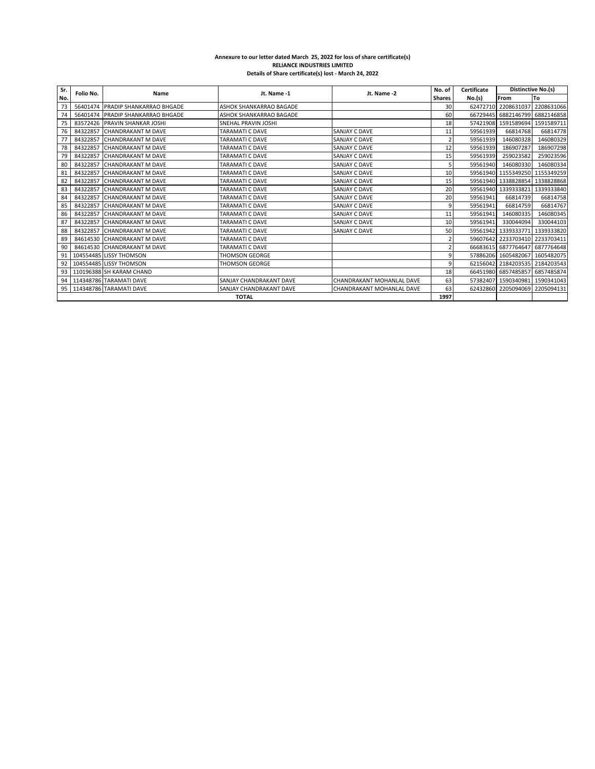## **Annexure to our letter dated March 25, 2022 for loss of share certificate(s) RELIANCE INDUSTRIES LIMITED Details of Share certificate(s) lost - March 24, 2022**

| Sr. | Folio No. | Name                              | Jt. Name -1             | Jt. Name -2               | No. of                  | Certificate | <b>Distinctive No.(s)</b>      |            |
|-----|-----------|-----------------------------------|-------------------------|---------------------------|-------------------------|-------------|--------------------------------|------------|
| No. |           |                                   |                         |                           | Shares                  | No.(s)      | From                           | To         |
| 73  |           | 56401474 PRADIP SHANKARRAO BHGADE | ASHOK SHANKARRAO BAGADE |                           | 30                      |             | 62472710 2208631037 2208631066 |            |
| 74  |           | 56401474 PRADIP SHANKARRAO BHGADE | ASHOK SHANKARRAO BAGADE |                           | 60                      | 66729445    | 6882146799 6882146858          |            |
| 75  |           | 83572426 PRAVIN SHANKAR JOSHI     | SNEHAL PRAVIN JOSHI     |                           | 18                      |             | 57421908 1591589694            | 1591589711 |
| 76  | 84322857  | <b>CHANDRAKANT M DAVE</b>         | <b>TARAMATI C DAVE</b>  | SANJAY C DAVE             | 11                      | 59561939    | 66814768                       | 66814778   |
| 77  | 84322857  | <b>CHANDRAKANT M DAVE</b>         | TARAMATI C DAVE         | SANJAY C DAVE             | $\overline{2}$          | 59561939    | 146080328                      | 146080329  |
| 78  | 84322857  | <b>CHANDRAKANT M DAVE</b>         | TARAMATI C DAVE         | SANJAY C DAVE             | 12                      | 59561939    | 186907287                      | 186907298  |
| 79  | 84322857  | <b>CHANDRAKANT M DAVE</b>         | TARAMATI C DAVE         | SANJAY C DAVE             | 15                      | 59561939    | 259023582                      | 259023596  |
| 80  | 84322857  | <b>CHANDRAKANT M DAVE</b>         | TARAMATI C DAVE         | SANJAY C DAVE             | 5                       | 59561940    | 146080330                      | 146080334  |
| 81  | 84322857  | <b>CHANDRAKANT M DAVE</b>         | TARAMATI C DAVE         | SANJAY C DAVE             | 10                      | 59561940    | 1155349250                     | 1155349259 |
| 82  | 84322857  | <b>CHANDRAKANT M DAVE</b>         | <b>TARAMATI C DAVE</b>  | SANJAY C DAVE             | 15                      | 59561940    | 1338828854                     | 1338828868 |
| 83  | 84322857  | <b>CHANDRAKANT M DAVE</b>         | TARAMATI C DAVE         | SANJAY C DAVE             | 20                      |             | 59561940 1339333821            | 1339333840 |
| 84  | 84322857  | <b>CHANDRAKANT M DAVE</b>         | TARAMATI C DAVE         | SANJAY C DAVE             | 20                      | 59561941    | 66814739                       | 66814758   |
| 85  | 84322857  | <b>CHANDRAKANT M DAVE</b>         | <b>TARAMATI C DAVE</b>  | SANJAY C DAVE             | 9                       | 59561941    | 66814759                       | 66814767   |
| 86  | 84322857  | <b>CHANDRAKANT M DAVE</b>         | TARAMATI C DAVE         | SANJAY C DAVE             | 11                      | 59561941    | 146080335                      | 146080345  |
| 87  | 84322857  | <b>CHANDRAKANT M DAVE</b>         | <b>TARAMATI C DAVE</b>  | <b>SANJAY C DAVE</b>      | 10                      | 59561941    | 330044094                      | 330044103  |
| 88  | 84322857  | <b>CHANDRAKANT M DAVE</b>         | TARAMATI C DAVE         | SANJAY C DAVE             | 50                      | 59561942    | 1339333771                     | 1339333820 |
| 89  |           | 84614530 CHANDRAKANT M DAVE       | <b>TARAMATI C DAVE</b>  |                           | $\overline{\mathbf{c}}$ | 59607642    | 2233703410 2233703411          |            |
| 90  |           | 84614530 CHANDRAKANT M DAVE       | TARAMATI C DAVE         |                           | $\overline{2}$          | 66683615    | 6877764647 6877764648          |            |
| 91  |           | 104554485 LISSY THOMSON           | <b>THOMSON GEORGE</b>   |                           | 9                       |             | 57886206 1605482067 1605482075 |            |
| 92  |           | 104554485 LISSY THOMSON           | THOMSON GEORGE          |                           | 9                       |             | 62156042 2184203535 2184203543 |            |
| 93  |           | 110196388 SH KARAM CHAND          |                         |                           | 18                      |             | 66451980 6857485857 6857485874 |            |
| 94  |           | 114348786 TARAMATI DAVE           | SANJAY CHANDRAKANT DAVE | CHANDRAKANT MOHANLAL DAVE | 63                      | 57382407    | 1590340981 1590341043          |            |
| 95  |           | 114348786 TARAMATI DAVE           | SANJAY CHANDRAKANT DAVE | CHANDRAKANT MOHANLAL DAVE | 63                      | 62432860    | 2205094069                     | 2205094131 |
|     |           |                                   | <b>TOTAL</b>            |                           | 1997                    |             |                                |            |